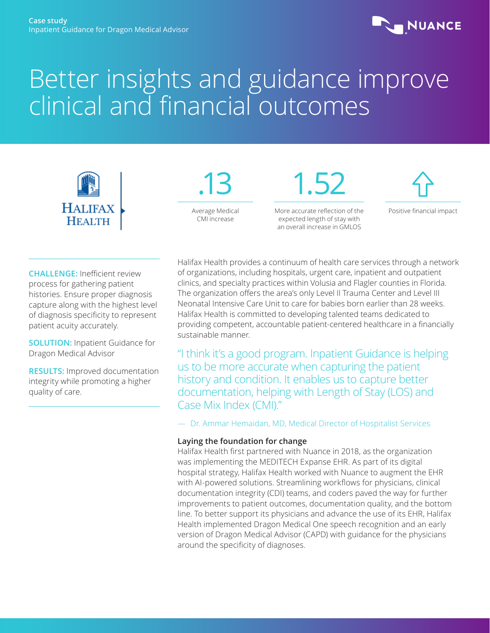

# Better insights and guidance improve clinical and financial outcomes





More accurate reflection of the expected length of stay with an overall increase in GMLOS

1.52



Positive financial impact

**CHALLENGE:** Inefficient review process for gathering patient histories. Ensure proper diagnosis capture along with the highest level of diagnosis specificity to represent patient acuity accurately.

**SOLUTION:** Inpatient Guidance for Dragon Medical Advisor

**RESULTS:** Improved documentation integrity while promoting a higher quality of care.

Halifax Health provides a continuum of health care services through a network of organizations, including hospitals, urgent care, inpatient and outpatient clinics, and specialty practices within Volusia and Flagler counties in Florida. The organization offers the area's only Level II Trauma Center and Level III Neonatal Intensive Care Unit to care for babies born earlier than 28 weeks. Halifax Health is committed to developing talented teams dedicated to providing competent, accountable patient-centered healthcare in a financially sustainable manner.

"I think it's a good program. Inpatient Guidance is helping us to be more accurate when capturing the patient history and condition. It enables us to capture better documentation, helping with Length of Stay (LOS) and Case Mix Index (CMI)."

— Dr. Ammar Hemaidan, MD, Medical Director of Hospitalist Services

## **Laying the foundation for change**

Halifax Health first partnered with Nuance in 2018, as the organization was implementing the MEDITECH Expanse EHR. As part of its digital hospital strategy, Halifax Health worked with Nuance to augment the EHR with AI-powered solutions. Streamlining workflows for physicians, clinical documentation integrity (CDI) teams, and coders paved the way for further improvements to patient outcomes, documentation quality, and the bottom line. To better support its physicians and advance the use of its EHR, Halifax Health implemented Dragon Medical One speech recognition and an early version of Dragon Medical Advisor (CAPD) with guidance for the physicians around the specificity of diagnoses.